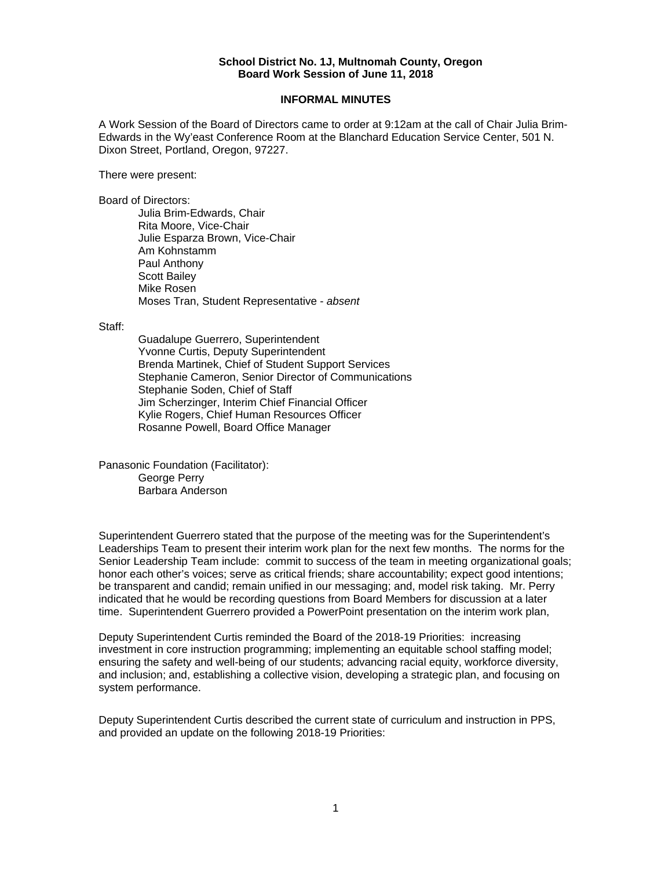## **School District No. 1J, Multnomah County, Oregon Board Work Session of June 11, 2018**

## **INFORMAL MINUTES**

A Work Session of the Board of Directors came to order at 9:12am at the call of Chair Julia Brim-Edwards in the Wy'east Conference Room at the Blanchard Education Service Center, 501 N. Dixon Street, Portland, Oregon, 97227.

There were present:

Board of Directors:

Julia Brim-Edwards, Chair Rita Moore, Vice-Chair Julie Esparza Brown, Vice-Chair Am Kohnstamm Paul Anthony Scott Bailey Mike Rosen Moses Tran, Student Representative - *absent* 

Staff:

 Guadalupe Guerrero, Superintendent Yvonne Curtis, Deputy Superintendent Brenda Martinek, Chief of Student Support Services Stephanie Cameron, Senior Director of Communications Stephanie Soden, Chief of Staff Jim Scherzinger, Interim Chief Financial Officer Kylie Rogers, Chief Human Resources Officer Rosanne Powell, Board Office Manager

Panasonic Foundation (Facilitator): George Perry Barbara Anderson

Superintendent Guerrero stated that the purpose of the meeting was for the Superintendent's Leaderships Team to present their interim work plan for the next few months. The norms for the Senior Leadership Team include: commit to success of the team in meeting organizational goals; honor each other's voices; serve as critical friends; share accountability; expect good intentions; be transparent and candid; remain unified in our messaging; and, model risk taking. Mr. Perry indicated that he would be recording questions from Board Members for discussion at a later time. Superintendent Guerrero provided a PowerPoint presentation on the interim work plan,

Deputy Superintendent Curtis reminded the Board of the 2018-19 Priorities: increasing investment in core instruction programming; implementing an equitable school staffing model; ensuring the safety and well-being of our students; advancing racial equity, workforce diversity, and inclusion; and, establishing a collective vision, developing a strategic plan, and focusing on system performance.

Deputy Superintendent Curtis described the current state of curriculum and instruction in PPS, and provided an update on the following 2018-19 Priorities: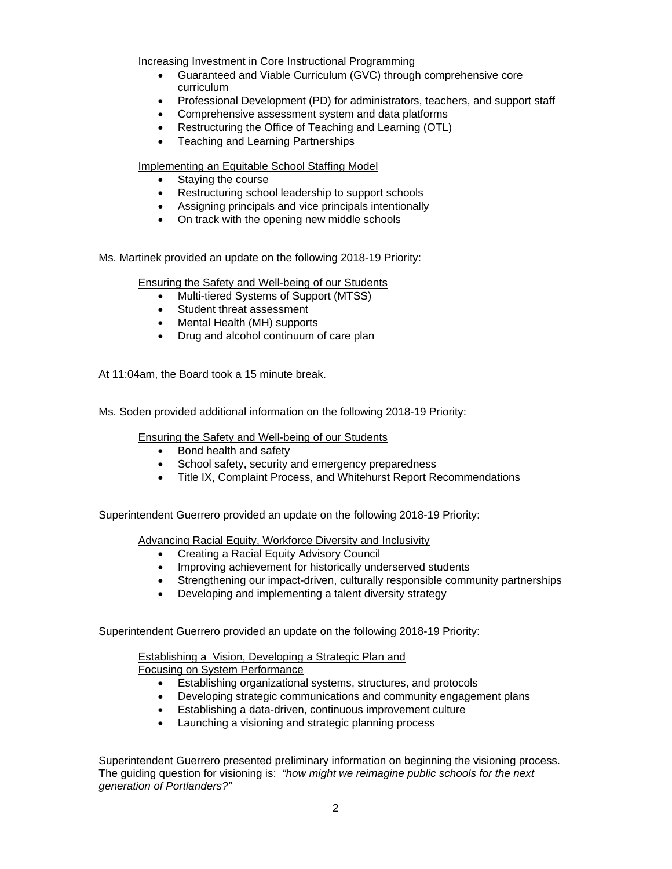Increasing Investment in Core Instructional Programming

- Guaranteed and Viable Curriculum (GVC) through comprehensive core curriculum
- Professional Development (PD) for administrators, teachers, and support staff
- Comprehensive assessment system and data platforms
- Restructuring the Office of Teaching and Learning (OTL)
- Teaching and Learning Partnerships

Implementing an Equitable School Staffing Model

- Staying the course
- Restructuring school leadership to support schools
- Assigning principals and vice principals intentionally
- On track with the opening new middle schools

Ms. Martinek provided an update on the following 2018-19 Priority:

Ensuring the Safety and Well-being of our Students

- Multi-tiered Systems of Support (MTSS)
- Student threat assessment
- Mental Health (MH) supports
- Drug and alcohol continuum of care plan

At 11:04am, the Board took a 15 minute break.

Ms. Soden provided additional information on the following 2018-19 Priority:

Ensuring the Safety and Well-being of our Students

- Bond health and safety
- School safety, security and emergency preparedness
- Title IX, Complaint Process, and Whitehurst Report Recommendations

Superintendent Guerrero provided an update on the following 2018-19 Priority:

Advancing Racial Equity, Workforce Diversity and Inclusivity

- Creating a Racial Equity Advisory Council
- Improving achievement for historically underserved students
- Strengthening our impact-driven, culturally responsible community partnerships
- Developing and implementing a talent diversity strategy

Superintendent Guerrero provided an update on the following 2018-19 Priority:

Establishing a Vision, Developing a Strategic Plan and Focusing on System Performance

- Establishing organizational systems, structures, and protocols
- Developing strategic communications and community engagement plans
- Establishing a data-driven, continuous improvement culture
- Launching a visioning and strategic planning process

Superintendent Guerrero presented preliminary information on beginning the visioning process. The guiding question for visioning is: *"how might we reimagine public schools for the next generation of Portlanders?"*